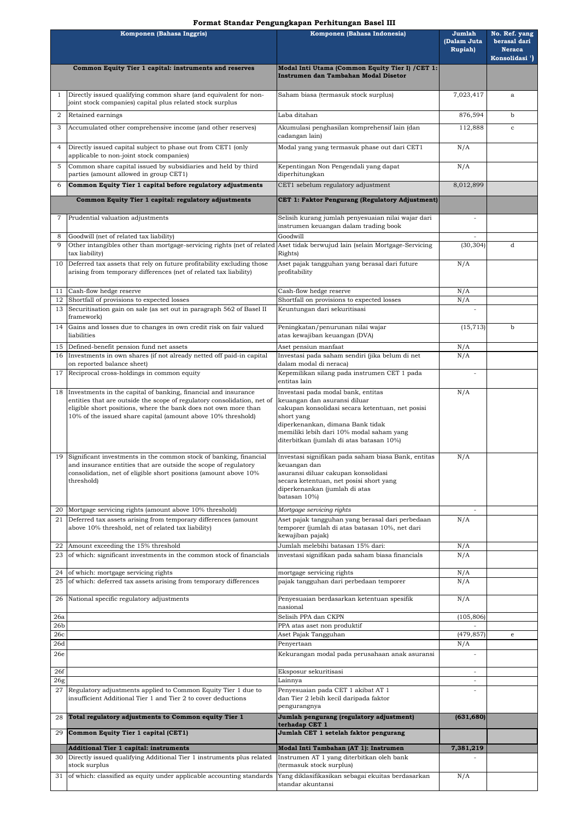|                        | Komponen (Bahasa Inggris)                                                                                                                                                                                                                                                       | Komponen (Bahasa Indonesia)                                                                                                                                                                                                                                      | Jumlah<br>(Dalam Juta<br><b>Rupiah</b> ) | No. Ref. yang<br>berasal dari<br><b>Neraca</b><br>Konsolidasi <sup>1</sup> ) |
|------------------------|---------------------------------------------------------------------------------------------------------------------------------------------------------------------------------------------------------------------------------------------------------------------------------|------------------------------------------------------------------------------------------------------------------------------------------------------------------------------------------------------------------------------------------------------------------|------------------------------------------|------------------------------------------------------------------------------|
|                        | Common Equity Tier 1 capital: instruments and reserves                                                                                                                                                                                                                          | Modal Inti Utama (Common Equity Tier I) / CET 1:<br>Instrumen dan Tambahan Modal Disetor                                                                                                                                                                         |                                          |                                                                              |
|                        | Directly issued qualifying common share (and equivalent for non-<br>joint stock companies) capital plus related stock surplus                                                                                                                                                   | Saham biasa (termasuk stock surplus)                                                                                                                                                                                                                             | 7,023,417                                | a                                                                            |
| 2                      | Retained earnings                                                                                                                                                                                                                                                               | Laba ditahan                                                                                                                                                                                                                                                     | 876,594                                  | b                                                                            |
| 3                      | Accumulated other comprehensive income (and other reserves)                                                                                                                                                                                                                     | Akumulasi penghasilan komprehensif lain (dan<br>cadangan lain)                                                                                                                                                                                                   | 112,888                                  | $\mathbf{C}$                                                                 |
| 4                      | Directly issued capital subject to phase out from CET1 (only<br>applicable to non-joint stock companies)                                                                                                                                                                        | Modal yang yang termasuk phase out dari CET1                                                                                                                                                                                                                     | N/A                                      |                                                                              |
| 5                      | Common share capital issued by subsidiaries and held by third<br>parties (amount allowed in group CET1)                                                                                                                                                                         | Kepentingan Non Pengendali yang dapat<br>diperhitungkan                                                                                                                                                                                                          | N/A                                      |                                                                              |
| 6                      | Common Equity Tier 1 capital before regulatory adjustments                                                                                                                                                                                                                      | CET1 sebelum regulatory adjustment                                                                                                                                                                                                                               | 8,012,899                                |                                                                              |
|                        | Common Equity Tier 1 capital: regulatory adjustments                                                                                                                                                                                                                            | CET 1: Faktor Pengurang (Regulatory Adjustment)                                                                                                                                                                                                                  |                                          |                                                                              |
| 7                      | Prudential valuation adjustments                                                                                                                                                                                                                                                | Selisih kurang jumlah penyesuaian nilai wajar dari<br>instrumen keuangan dalam trading book                                                                                                                                                                      | $\blacksquare$                           |                                                                              |
| 8<br>9                 | Goodwill (net of related tax liability)<br>Other intangibles other than mortgage-servicing rights (net of related Aset tidak berwujud lain (selain Mortgage-Servicing                                                                                                           | Goodwill                                                                                                                                                                                                                                                         | (30, 304)                                | d                                                                            |
|                        | tax liability)                                                                                                                                                                                                                                                                  | Rights)                                                                                                                                                                                                                                                          |                                          |                                                                              |
|                        | 10 Deferred tax assets that rely on future profitability excluding those<br>arising from temporary differences (net of related tax liability)                                                                                                                                   | Aset pajak tangguhan yang berasal dari future<br>profitability                                                                                                                                                                                                   | N/A                                      |                                                                              |
|                        | 11 Cash-flow hedge reserve                                                                                                                                                                                                                                                      | Cash-flow hedge reserve                                                                                                                                                                                                                                          | N/A                                      |                                                                              |
|                        | 12 Shortfall of provisions to expected losses<br>13 Securitisation gain on sale (as set out in paragraph 562 of Basel II                                                                                                                                                        | Shortfall on provisions to expected losses<br>Keuntungan dari sekuritisasi                                                                                                                                                                                       | N/A                                      |                                                                              |
|                        | framework)                                                                                                                                                                                                                                                                      |                                                                                                                                                                                                                                                                  |                                          |                                                                              |
|                        | 14 Gains and losses due to changes in own credit risk on fair valued<br>liabilities                                                                                                                                                                                             | Peningkatan/penurunan nilai wajar<br>atas kewajiban keuangan (DVA)                                                                                                                                                                                               |                                          | b                                                                            |
|                        | 15 Defined-benefit pension fund net assets                                                                                                                                                                                                                                      | Aset pensiun manfaat                                                                                                                                                                                                                                             | N/A                                      |                                                                              |
|                        | 16 Investments in own shares (if not already netted off paid-in capital<br>on reported balance sheet)                                                                                                                                                                           | Investasi pada saham sendiri (jika belum di net<br>dalam modal di neraca)                                                                                                                                                                                        | N/A                                      |                                                                              |
|                        | 17 Reciprocal cross-holdings in common equity                                                                                                                                                                                                                                   | Kepemilikan silang pada instrumen CET 1 pada<br>entitas lain                                                                                                                                                                                                     |                                          |                                                                              |
|                        | 18 Investments in the capital of banking, financial and insurance<br>entities that are outside the scope of regulatory consolidation, net of<br>eligible short positions, where the bank does not own more than<br>10% of the issued share capital (amount above 10% threshold) | Investasi pada modal bank, entitas<br>keuangan dan asuransi diluar<br>cakupan konsolidasi secara ketentuan, net posisi<br>short yang<br>diperkenankan, dimana Bank tidak<br>memiliki lebih dari 10% modal saham yang<br>diterbitkan (jumlah di atas batasan 10%) | N/A                                      |                                                                              |
|                        | 19 Significant investments in the common stock of banking, financial<br>and insurance entities that are outside the scope of regulatory<br>consolidation, net of eligible short positions (amount above 10%<br>threshold)                                                       | Investasi signifikan pada saham biasa Bank, entitas<br>keuangan dan<br>asuransi diluar cakupan konsolidasi<br>secara ketentuan, net posisi short yang<br>diperkenankan (jumlah di atas<br>batasan 10%)                                                           | N/A                                      |                                                                              |
|                        | 20 Mortgage servicing rights (amount above 10% threshold)                                                                                                                                                                                                                       | Mortgage servicing rights                                                                                                                                                                                                                                        |                                          |                                                                              |
| 21                     | Deferred tax assets arising from temporary differences (amount<br>above 10% threshold, net of related tax liability)                                                                                                                                                            | Aset pajak tangguhan yang berasal dari perbedaan<br>temporer (jumlah di atas batasan 10%, net dari<br>kewajiban pajak)                                                                                                                                           | N/A                                      |                                                                              |
| 22                     | Amount exceeding the 15% threshold                                                                                                                                                                                                                                              | Jumlah melebihi batasan 15% dari:                                                                                                                                                                                                                                | N/A                                      |                                                                              |
| 23                     | of which: significant investments in the common stock of financials                                                                                                                                                                                                             | investasi signifikan pada saham biasa financials                                                                                                                                                                                                                 | N/A                                      |                                                                              |
|                        | 24 of which: mortgage servicing rights<br>25 of which: deferred tax assets arising from temporary differences                                                                                                                                                                   | mortgage servicing rights<br>pajak tangguhan dari perbedaan temporer                                                                                                                                                                                             | N/A<br>N/A                               |                                                                              |
| 26                     | National specific regulatory adjustments                                                                                                                                                                                                                                        | Penyesuaian berdasarkan ketentuan spesifik                                                                                                                                                                                                                       | N/A                                      |                                                                              |
|                        |                                                                                                                                                                                                                                                                                 | nasional                                                                                                                                                                                                                                                         |                                          |                                                                              |
| 26a<br>26 <sub>b</sub> |                                                                                                                                                                                                                                                                                 | Selisih PPA dan CKPN<br>PPA atas aset non produktif                                                                                                                                                                                                              | (105, 806)                               |                                                                              |
| 26c                    |                                                                                                                                                                                                                                                                                 | Aset Pajak Tangguhan                                                                                                                                                                                                                                             | (479, 857)                               | e                                                                            |
| 26d                    |                                                                                                                                                                                                                                                                                 | Penyertaan                                                                                                                                                                                                                                                       | N/A                                      |                                                                              |
| 26e                    |                                                                                                                                                                                                                                                                                 | Kekurangan modal pada perusahaan anak asuransi                                                                                                                                                                                                                   |                                          |                                                                              |
| 26f<br>26g             |                                                                                                                                                                                                                                                                                 | Eksposur sekuritisasi<br>Lainnya                                                                                                                                                                                                                                 | $\sim$<br>$\sim$                         |                                                                              |
|                        | 27 Regulatory adjustments applied to Common Equity Tier 1 due to<br>insufficient Additional Tier 1 and Tier 2 to cover deductions                                                                                                                                               | Penyesuaian pada CET 1 akibat AT 1<br>dan Tier 2 lebih kecil daripada faktor<br>pengurangnya                                                                                                                                                                     |                                          |                                                                              |
| 28                     | Total regulatory adjustments to Common equity Tier 1<br>Jumlah pengurang (regulatory adjustment)<br>terhadap CET 1                                                                                                                                                              |                                                                                                                                                                                                                                                                  | (631, 680)                               |                                                                              |
| 29                     | Common Equity Tier 1 capital (CET1)                                                                                                                                                                                                                                             | Jumlah CET 1 setelah faktor pengurang                                                                                                                                                                                                                            |                                          |                                                                              |
|                        | <b>Additional Tier 1 capital: instruments</b>                                                                                                                                                                                                                                   | Modal Inti Tambahan (AT 1): Instrumen                                                                                                                                                                                                                            | 7,381,219                                |                                                                              |
| 30                     | Directly issued qualifying Additional Tier 1 instruments plus related<br>stock surplus                                                                                                                                                                                          | Instrumen AT 1 yang diterbitkan oleh bank<br>(termasuk stock surplus)                                                                                                                                                                                            |                                          |                                                                              |
|                        | 31 of which: classified as equity under applicable accounting standards Yang diklasifikasikan sebagai ekuitas berdasarkan                                                                                                                                                       | standar akuntansi                                                                                                                                                                                                                                                | N/A                                      |                                                                              |

## **Format Standar Pengungkapan Perhitungan Basel III**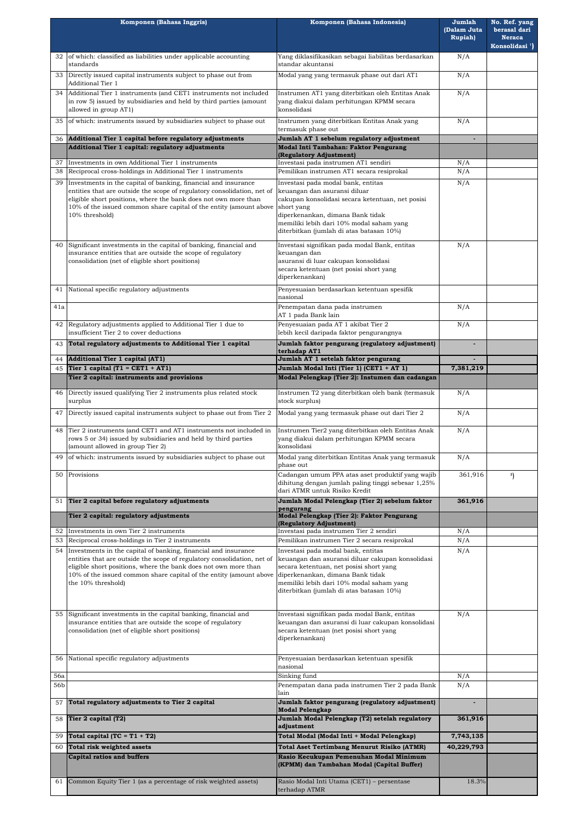|                   | Komponen (Bahasa Inggris)                                                                                                                                                                                                                                                                                | Komponen (Bahasa Indonesia)                                                                                                                                                                                                                                      | Jumlah<br>(Dalam Juta<br><b>Rupiah</b> ) | No. Ref. yang<br>berasal dari<br><b>Neraca</b><br>Konsolidasi <sup>1</sup> ) |
|-------------------|----------------------------------------------------------------------------------------------------------------------------------------------------------------------------------------------------------------------------------------------------------------------------------------------------------|------------------------------------------------------------------------------------------------------------------------------------------------------------------------------------------------------------------------------------------------------------------|------------------------------------------|------------------------------------------------------------------------------|
| 32                | of which: classified as liabilities under applicable accounting<br>standards                                                                                                                                                                                                                             | Yang diklasifikasikan sebagai liabilitas berdasarkan<br>standar akuntansi                                                                                                                                                                                        | N/A                                      |                                                                              |
| 33                | Directly issued capital instruments subject to phase out from<br>Additional Tier 1                                                                                                                                                                                                                       | Modal yang yang termasuk phase out dari AT1                                                                                                                                                                                                                      | N/A                                      |                                                                              |
| 34                | Additional Tier 1 instruments (and CET1 instruments not included<br>Instrumen AT1 yang diterbitkan oleh Entitas Anak<br>in row 5) issued by subsidiaries and held by third parties (amount<br>yang diakui dalam perhitungan KPMM secara<br>allowed in group AT1)<br>konsolidasi                          |                                                                                                                                                                                                                                                                  | N/A                                      |                                                                              |
| 35                | of which: instruments issued by subsidiaries subject to phase out                                                                                                                                                                                                                                        | Instrumen yang diterbitkan Entitas Anak yang<br>termasuk phase out                                                                                                                                                                                               | N/A                                      |                                                                              |
| 36                | Additional Tier 1 capital before regulatory adjustments<br>Additional Tier 1 capital: regulatory adjustments                                                                                                                                                                                             | Jumlah AT 1 sebelum regulatory adjustment<br>Modal Inti Tambahan: Faktor Pengurang                                                                                                                                                                               |                                          |                                                                              |
| 37                | Investments in own Additional Tier 1 instruments                                                                                                                                                                                                                                                         | (Regulatory Adjustment)<br>Investasi pada instrumen AT1 sendiri                                                                                                                                                                                                  |                                          |                                                                              |
| 38                | Reciprocal cross-holdings in Additional Tier 1 instruments                                                                                                                                                                                                                                               | Pemilikan instrumen AT1 secara resiprokal                                                                                                                                                                                                                        | N/A<br>N/A                               |                                                                              |
| 39                | Investments in the capital of banking, financial and insurance<br>entities that are outside the scope of regulatory consolidation, net of<br>eligible short positions, where the bank does not own more than<br>10% of the issued common share capital of the entity (amount above<br>10% threshold)     | Investasi pada modal bank, entitas<br>keuangan dan asuransi diluar<br>cakupan konsolidasi secara ketentuan, net posisi<br>short yang<br>diperkenankan, dimana Bank tidak<br>memiliki lebih dari 10% modal saham yang<br>diterbitkan (jumlah di atas batasan 10%) |                                          |                                                                              |
| 40                | Significant investments in the capital of banking, financial and<br>insurance entities that are outside the scope of regulatory<br>consolidation (net of eligible short positions)                                                                                                                       | Investasi signifikan pada modal Bank, entitas<br>keuangan dan<br>asuransi di luar cakupan konsolidasi<br>secara ketentuan (net posisi short yang<br>diperkenankan)                                                                                               | N/A                                      |                                                                              |
| 41                | National specific regulatory adjustments                                                                                                                                                                                                                                                                 | Penyesuaian berdasarkan ketentuan spesifik<br>nasional                                                                                                                                                                                                           |                                          |                                                                              |
| 41a               |                                                                                                                                                                                                                                                                                                          | Penempatan dana pada instrumen<br>AT 1 pada Bank lain                                                                                                                                                                                                            | N/A                                      |                                                                              |
|                   | 42 Regulatory adjustments applied to Additional Tier 1 due to<br>insufficient Tier 2 to cover deductions                                                                                                                                                                                                 | Penyesuaian pada AT 1 akibat Tier 2<br>lebih kecil daripada faktor pengurangnya                                                                                                                                                                                  | N/A                                      |                                                                              |
| 43.               | Total regulatory adjustments to Additional Tier 1 capital                                                                                                                                                                                                                                                | Jumlah faktor pengurang (regulatory adjustment)<br>terhadap AT1                                                                                                                                                                                                  |                                          |                                                                              |
| 44                | <b>Additional Tier 1 capital (AT1)</b>                                                                                                                                                                                                                                                                   | Jumlah AT 1 setelah faktor pengurang                                                                                                                                                                                                                             |                                          |                                                                              |
| 45                | Tier 1 capital (T1 = CET1 + AT1)<br>Tier 2 capital: instruments and provisions                                                                                                                                                                                                                           | Jumlah Modal Inti (Tier 1) (CET1 + AT 1)<br>Modal Pelengkap (Tier 2): Instumen dan cadangan                                                                                                                                                                      | 7,381,219                                |                                                                              |
| 46                | Directly issued qualifying Tier 2 instruments plus related stock                                                                                                                                                                                                                                         | Instrumen T2 yang diterbitkan oleh bank (termasuk                                                                                                                                                                                                                | N/A                                      |                                                                              |
| 47                | surplus<br>Directly issued capital instruments subject to phase out from Tier 2                                                                                                                                                                                                                          | stock surplus)<br>Modal yang yang termasuk phase out dari Tier 2                                                                                                                                                                                                 | N/A                                      |                                                                              |
| 48                | Tier 2 instruments (and CET1 and AT1 instruments not included in                                                                                                                                                                                                                                         | Instrumen Tier2 yang diterbitkan oleh Entitas Anak                                                                                                                                                                                                               | N/A                                      |                                                                              |
|                   | rows 5 or 34) issued by subsidiaries and held by third parties<br>(amount allowed in group Tier 2)                                                                                                                                                                                                       | yang diakui dalam perhitungan KPMM secara<br>konsolidasi                                                                                                                                                                                                         |                                          |                                                                              |
| 49                | of which: instruments issued by subsidiaries subject to phase out                                                                                                                                                                                                                                        | Modal yang diterbitkan Entitas Anak yang termasuk<br>phase out                                                                                                                                                                                                   | N/A                                      |                                                                              |
| 50                | Provisions                                                                                                                                                                                                                                                                                               | Cadangan umum PPA atas aset produktif yang wajib<br>dihitung dengan jumlah paling tinggi sebesar 1,25%<br>dari ATMR untuk Risiko Kredit                                                                                                                          | 361,916                                  | 3)                                                                           |
| 51                | Tier 2 capital before regulatory adjustments                                                                                                                                                                                                                                                             | Jumlah Modal Pelengkap (Tier 2) sebelum faktor<br>pengurang                                                                                                                                                                                                      | 361,916                                  |                                                                              |
|                   | Tier 2 capital: regulatory adjustments                                                                                                                                                                                                                                                                   | Modal Pelengkap (Tier 2): Faktor Pengurang<br>(Regulatory Adjustment)                                                                                                                                                                                            |                                          |                                                                              |
| 52<br>53          | Investments in own Tier 2 instruments<br>Reciprocal cross-holdings in Tier 2 instruments                                                                                                                                                                                                                 | Investasi pada instrumen Tier 2 sendiri<br>Pemilikan instrumen Tier 2 secara resiprokal                                                                                                                                                                          | N/A<br>N/A                               |                                                                              |
| 54                | Investments in the capital of banking, financial and insurance<br>entities that are outside the scope of regulatory consolidation, net of<br>eligible short positions, where the bank does not own more than<br>10% of the issued common share capital of the entity (amount above<br>the 10% threshold) | Investasi pada modal bank, entitas<br>keuangan dan asuransi diluar cakupan konsolidasi<br>secara ketentuan, net posisi short yang<br>diperkenankan, dimana Bank tidak<br>memiliki lebih dari 10% modal saham yang<br>diterbitkan (jumlah di atas batasan 10%)    |                                          |                                                                              |
| 55                | Significant investments in the capital banking, financial and<br>insurance entities that are outside the scope of regulatory<br>consolidation (net of eligible short positions)                                                                                                                          | Investasi signifikan pada modal Bank, entitas<br>keuangan dan asuransi di luar cakupan konsolidasi<br>secara ketentuan (net posisi short yang<br>diperkenankan)                                                                                                  |                                          |                                                                              |
| 56                | National specific regulatory adjustments                                                                                                                                                                                                                                                                 | Penyesuaian berdasarkan ketentuan spesifik<br>nasional                                                                                                                                                                                                           |                                          |                                                                              |
| <b>56a</b><br>56b |                                                                                                                                                                                                                                                                                                          | Sinking fund<br>Penempatan dana pada instrumen Tier 2 pada Bank                                                                                                                                                                                                  | N/A<br>N/A                               |                                                                              |
| 57                | Total regulatory adjustments to Tier 2 capital                                                                                                                                                                                                                                                           | lain<br>Jumlah faktor pengurang (regulatory adjustment)                                                                                                                                                                                                          |                                          |                                                                              |
| 58                | Tier 2 capital (T2)                                                                                                                                                                                                                                                                                      | <b>Modal Pelengkap</b><br>Jumlah Modal Pelengkap (T2) setelah regulatory                                                                                                                                                                                         | 361,916                                  |                                                                              |
|                   | Total capital $(TC = T1 + T2)$                                                                                                                                                                                                                                                                           | adjustment                                                                                                                                                                                                                                                       |                                          |                                                                              |
| 59<br>60          | Total risk weighted assets                                                                                                                                                                                                                                                                               | Total Modal (Modal Inti + Modal Pelengkap)<br><b>Total Aset Tertimbang Menurut Risiko (ATMR)</b>                                                                                                                                                                 | 7,743,135<br>40,229,793                  |                                                                              |
|                   | <b>Capital ratios and buffers</b>                                                                                                                                                                                                                                                                        | Rasio Kecukupan Pemenuhan Modal Minimum                                                                                                                                                                                                                          |                                          |                                                                              |
|                   |                                                                                                                                                                                                                                                                                                          | (KPMM) dan Tambahan Modal (Capital Buffer)                                                                                                                                                                                                                       |                                          |                                                                              |
| 61                | Common Equity Tier 1 (as a percentage of risk weighted assets)                                                                                                                                                                                                                                           | Rasio Modal Inti Utama (CET1) - persentase<br>terhadap ATMR                                                                                                                                                                                                      | 18.3%                                    |                                                                              |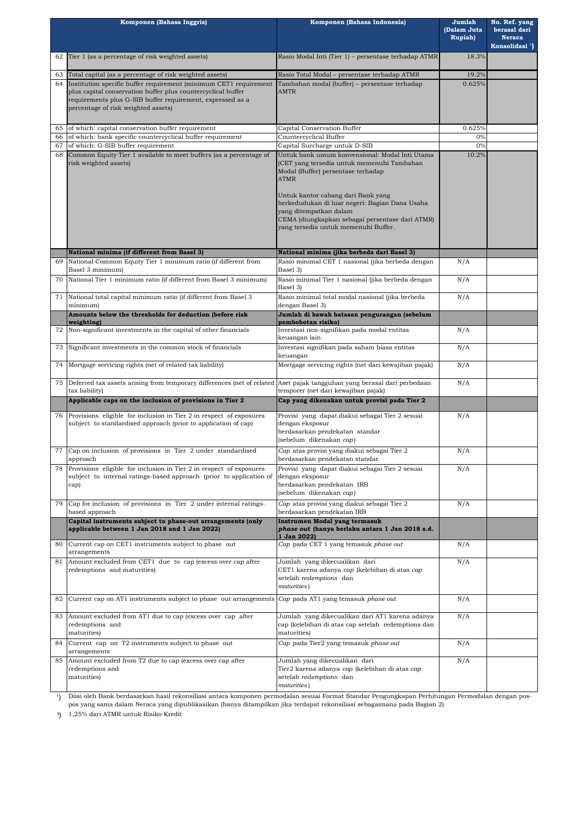|          | Komponen (Bahasa Inggris)                                                                                                                                                                                                              | Komponen (Bahasa Indonesia)                                                                                                                                                                                                                                                                                                                                    | Jumlah<br>(Dalam Juta<br><b>Rupiah</b> ) | No. Ref. yang<br>berasal dari<br><b>Neraca</b><br>Konsolidasi <sup>1</sup> ) |
|----------|----------------------------------------------------------------------------------------------------------------------------------------------------------------------------------------------------------------------------------------|----------------------------------------------------------------------------------------------------------------------------------------------------------------------------------------------------------------------------------------------------------------------------------------------------------------------------------------------------------------|------------------------------------------|------------------------------------------------------------------------------|
| 62       | Tier 1 (as a percentage of risk weighted assets)                                                                                                                                                                                       | Rasio Modal Inti (Tier 1) - persentase terhadap ATMR                                                                                                                                                                                                                                                                                                           | 18.3%                                    |                                                                              |
| 63       | Total capital (as a percentage of risk weighted assets)                                                                                                                                                                                | Rasio Total Modal - persentase terhadap ATMR                                                                                                                                                                                                                                                                                                                   | 19.2%                                    |                                                                              |
| 64       | Institution specific buffer requirement (minimum CET1 requirement<br>plus capital conservation buffer plus countercyclical buffer<br>requirements plus G-SIB buffer requirement, expressed as a<br>percentage of risk weighted assets) | Tambahan modal (buffer) - persentase terhadap<br><b>AMTR</b>                                                                                                                                                                                                                                                                                                   | 0.625%                                   |                                                                              |
| 65       | of which: capital conservation buffer requirement                                                                                                                                                                                      | Capital Conservation Buffer                                                                                                                                                                                                                                                                                                                                    | 0.625%                                   |                                                                              |
| 66<br>67 | of which: bank specific countercyclical buffer requirement<br>of which: G-SIB buffer requirement                                                                                                                                       | Countercyclical Buffer<br>Capital Surcharge untuk D-SIB                                                                                                                                                                                                                                                                                                        | 0%<br>0%                                 |                                                                              |
| 68       | Common Equity Tier 1 available to meet buffers (as a percentage of<br>risk weighted assets)                                                                                                                                            | Untuk bank umum konvensional: Modal Inti Utama<br>(CET yang tersedia untuk memenuhi Tambahan<br>Modal (Buffer) persentase terhadap<br><b>ATMR</b><br>Untuk kantor cabang dari Bank yang<br>berkedudukan di luar negeri: Bagian Dana Usaha<br>yang ditempatkan dalam<br>CEMA (diungkapkan sebagai persentase dari ATMR)<br>yang tersedia untuk memenuhi Buffer. | 10.2%                                    |                                                                              |
|          |                                                                                                                                                                                                                                        |                                                                                                                                                                                                                                                                                                                                                                |                                          |                                                                              |
|          | National minima (if different from Basel 3)                                                                                                                                                                                            | National minima (jika berbeda dari Basel 3)                                                                                                                                                                                                                                                                                                                    |                                          |                                                                              |
| 69       | National Common Equity Tier 1 minimum ratio (if different from<br>Basel 3 minimum)                                                                                                                                                     | Rasio minimal CET 1 nasional (jika berbeda dengan<br>Basel 3)                                                                                                                                                                                                                                                                                                  | N/A                                      |                                                                              |
| 70       | National Tier 1 minimum ratio (if different from Basel 3 minimum)                                                                                                                                                                      | Rasio minimal Tier 1 nasional (jika berbeda dengan<br>Basel 3)                                                                                                                                                                                                                                                                                                 | N/A                                      |                                                                              |
| 71       | National total capital minimum ratio (if different from Basel 3<br>minimum)<br>Amounts below the thresholds for deduction (before risk                                                                                                 | Rasio minimal total modal nasional (jika berbeda<br>dengan Basel 3)<br>Jumlah di bawah batasan pengurangan (sebelum                                                                                                                                                                                                                                            | N/A                                      |                                                                              |
|          | weighting)                                                                                                                                                                                                                             | pembobotan risiko)                                                                                                                                                                                                                                                                                                                                             |                                          |                                                                              |
|          | 72 Non-significant investments in the capital of other financials                                                                                                                                                                      | Investasi non-signifikan pada modal entitas<br>keuangan lain                                                                                                                                                                                                                                                                                                   | N/A                                      |                                                                              |
| 73       | Significant investments in the common stock of financials                                                                                                                                                                              | Investasi signifikan pada saham biasa entitas<br>keuangan                                                                                                                                                                                                                                                                                                      | N/A                                      |                                                                              |
| 74       | Mortgage servicing rights (net of related tax liability)                                                                                                                                                                               | Mortgage servicing rights (net dari kewajiban pajak)                                                                                                                                                                                                                                                                                                           | N/A                                      |                                                                              |
| 75       | Deferred tax assets arising from temporary differences (net of related<br>tax liability)                                                                                                                                               | Aset pajak tangguhan yang berasal dari perbedaan<br>temporer (net dari kewajiban pajak)                                                                                                                                                                                                                                                                        | N/A                                      |                                                                              |
|          | Applicable caps on the inclusion of provisions in Tier 2                                                                                                                                                                               | Cap yang dikenakan untuk provisi pada Tier 2                                                                                                                                                                                                                                                                                                                   |                                          |                                                                              |
| 76       | Provisions eligible for inclusion in Tier 2 in respect of exposures<br>subject to standardised approach (prior to application of cap)                                                                                                  | Provisi yang dapat diakui sebagai Tier 2 sesuai<br>dengan eksposur<br>berdasarkan pendekatan standar<br>(sebelum dikenakan cap)                                                                                                                                                                                                                                | N/A                                      |                                                                              |
| 77       | Cap on inclusion of provisions in Tier 2 under standardised<br>approach                                                                                                                                                                | Cap atas provisi yang diakui sebagai Tier 2<br>berdasarkan pendekatan standar                                                                                                                                                                                                                                                                                  | N/A                                      |                                                                              |
| 78       | Provisions eligible for inclusion in Tier 2 in respect of exposures<br>subject to internal ratings-based approach (prior to application of<br>cap)                                                                                     | Provisi yang dapat diakui sebagai Tier 2 sesuai<br>dengan eksposur<br>berdasarkan pendekatan IRB<br>(sebelum dikenakan cap)                                                                                                                                                                                                                                    |                                          |                                                                              |
| 79       | Cap for inclusion of provisions in Tier 2 under internal ratings-<br>based approach                                                                                                                                                    | Cap atas provisi yang diakui sebagai Tier 2<br>berdasarkan pendekatan IRB                                                                                                                                                                                                                                                                                      | N/A                                      |                                                                              |
|          | Capital instruments subject to phase-out arrangements (only<br>applicable between 1 Jan 2018 and 1 Jan 2022)                                                                                                                           | Instrumen Modal yang termasuk<br>phase out (hanya berlaku antara 1 Jan 2018 s.d.<br>1 Jan 2022)                                                                                                                                                                                                                                                                |                                          |                                                                              |
| 80       | Current cap on CET1 instruments subject to phase out<br>arrangements                                                                                                                                                                   | Cap pada CET 1 yang temasuk phase out                                                                                                                                                                                                                                                                                                                          | N/A                                      |                                                                              |
| 81       | Amount excluded from CET1 due to cap (excess over cap after<br>redemptions and maturities)                                                                                                                                             | Jumlah yang dikecualikan dari<br>CET1 karena adanya cap (kelebihan di atas cap<br>setelah redemptions dan<br>maturities)                                                                                                                                                                                                                                       | N/A                                      |                                                                              |
| 82       | Current cap on AT1 instruments subject to phase out arrangements                                                                                                                                                                       | Cap pada AT1 yang temasuk phase out                                                                                                                                                                                                                                                                                                                            | N/A                                      |                                                                              |
| 83       | Amount excluded from AT1 due to cap (excess over cap after<br>redemptions and<br>maturities)                                                                                                                                           | Jumlah yang dikecualikan dari AT1 karena adanya<br>cap (kelebihan di atas cap setelah redemptions dan<br>maturities)                                                                                                                                                                                                                                           | N/A                                      |                                                                              |
| 84       | Current cap on T2 instruments subject to phase out<br>arrangements                                                                                                                                                                     | Cap pada Tier2 yang temasuk phase out                                                                                                                                                                                                                                                                                                                          | N/A                                      |                                                                              |
| 85       | Amount excluded from T2 due to cap (excess over cap after<br>redemptions and<br>maturities)                                                                                                                                            | Jumlah yang dikecualikan dari<br>Tier2 karena adanya cap (kelebihan di atas cap<br>setelah redemptions dan<br>maturities)                                                                                                                                                                                                                                      | N/A                                      |                                                                              |

1) Diisi oleh Bank berdasarkan hasil rekonsiliasi antara komponen permodalan sesuai Format Standar Pengungkapan Perhitungan Permodalan dengan pospos yang sama dalam Neraca yang dipublikasikan (hanya ditampilkan jika terdapat rekonsiliasi sebagaimana pada Bagian 2)

**³**) 1,25% dari ATMR untuk Risiko Kredit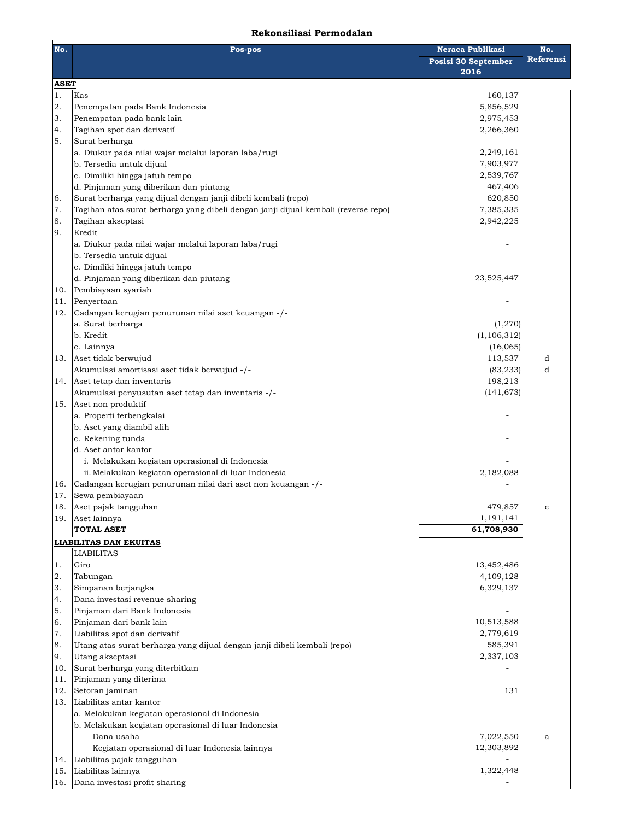## **Rekonsiliasi Permodalan**

| No.               | Pos-pos                                                                            | <b>Neraca Publikasi</b> | No.       |
|-------------------|------------------------------------------------------------------------------------|-------------------------|-----------|
|                   |                                                                                    | Posisi 30 September     | Referensi |
|                   |                                                                                    | 2016                    |           |
| <b>ASET</b><br>1. | Kas                                                                                | 160,137                 |           |
| 2.                | Penempatan pada Bank Indonesia                                                     | 5,856,529               |           |
| 3.                | Penempatan pada bank lain                                                          | 2,975,453               |           |
| 4.                | Tagihan spot dan derivatif                                                         | 2,266,360               |           |
| 5.                | Surat berharga                                                                     |                         |           |
|                   | a. Diukur pada nilai wajar melalui laporan laba/rugi                               | 2,249,161               |           |
|                   | b. Tersedia untuk dijual                                                           | 7,903,977               |           |
|                   | c. Dimiliki hingga jatuh tempo                                                     | 2,539,767               |           |
|                   | d. Pinjaman yang diberikan dan piutang                                             | 467,406                 |           |
| 6.                | Surat berharga yang dijual dengan janji dibeli kembali (repo)                      | 620,850                 |           |
| 7.                | Tagihan atas surat berharga yang dibeli dengan janji dijual kembali (reverse repo) | 7,385,335               |           |
| 8.                | Tagihan akseptasi                                                                  | 2,942,225               |           |
| 9.                | Kredit                                                                             |                         |           |
|                   | a. Diukur pada nilai wajar melalui laporan laba/rugi                               |                         |           |
|                   | b. Tersedia untuk dijual                                                           |                         |           |
|                   | c. Dimiliki hingga jatuh tempo                                                     |                         |           |
|                   | d. Pinjaman yang diberikan dan piutang                                             | 23,525,447              |           |
| 10.               | Pembiayaan syariah                                                                 |                         |           |
| 11.               | Penyertaan                                                                         |                         |           |
| 12.               | Cadangan kerugian penurunan nilai aset keuangan -/-                                |                         |           |
|                   | a. Surat berharga                                                                  | (1,270)                 |           |
|                   | b. Kredit                                                                          | (1, 106, 312)           |           |
|                   | c. Lainnya                                                                         | (16,065)                |           |
| 13.               | Aset tidak berwujud                                                                | 113,537                 | d         |
|                   | Akumulasi amortisasi aset tidak berwujud -/-                                       | (83, 233)               | d         |
| 14.               | Aset tetap dan inventaris                                                          | 198,213                 |           |
|                   | Akumulasi penyusutan aset tetap dan inventaris -/-                                 | (141, 673)              |           |
| 15.               | Aset non produktif                                                                 |                         |           |
|                   | a. Properti terbengkalai                                                           |                         |           |
|                   | b. Aset yang diambil alih                                                          |                         |           |
|                   | c. Rekening tunda                                                                  |                         |           |
|                   | d. Aset antar kantor                                                               |                         |           |
|                   | i. Melakukan kegiatan operasional di Indonesia                                     |                         |           |
|                   | ii. Melakukan kegiatan operasional di luar Indonesia                               | 2,182,088               |           |
| 16.               | Cadangan kerugian penurunan nilai dari aset non keuangan -/-                       |                         |           |
| 17.               | Sewa pembiayaan                                                                    |                         |           |
| 18.               | Aset pajak tangguhan                                                               | 479,857                 | e         |
| 19.               | Aset lainnya                                                                       | 1,191,141               |           |
|                   | <b>TOTAL ASET</b>                                                                  | 61,708,930              |           |
|                   | <b>LIABILITAS DAN EKUITAS</b>                                                      |                         |           |
|                   | LIABILITAS                                                                         |                         |           |
| 1.                | Giro                                                                               | 13,452,486              |           |
| 2.                | Tabungan                                                                           | 4,109,128               |           |
| 3.                | Simpanan berjangka                                                                 | 6,329,137               |           |
| 4.                | Dana investasi revenue sharing                                                     |                         |           |
| 5.                | Pinjaman dari Bank Indonesia                                                       |                         |           |
| 6.                | Pinjaman dari bank lain                                                            | 10,513,588              |           |
| 7.                | Liabilitas spot dan derivatif                                                      | 2,779,619               |           |
| 8.                | Utang atas surat berharga yang dijual dengan janji dibeli kembali (repo)           | 585,391                 |           |
| 9.                | Utang akseptasi                                                                    | 2,337,103               |           |
| 10.               | Surat berharga yang diterbitkan                                                    |                         |           |
| 11.               | Pinjaman yang diterima                                                             |                         |           |
| 12.               | Setoran jaminan                                                                    | 131                     |           |
| 13.               | Liabilitas antar kantor                                                            |                         |           |
|                   | a. Melakukan kegiatan operasional di Indonesia                                     |                         |           |
|                   | b. Melakukan kegiatan operasional di luar Indonesia                                |                         |           |
|                   | Dana usaha                                                                         | 7,022,550               | a         |
|                   | Kegiatan operasional di luar Indonesia lainnya                                     | 12,303,892              |           |
| 14.               | Liabilitas pajak tangguhan                                                         |                         |           |
| 15.               | Liabilitas lainnya                                                                 | 1,322,448               |           |
|                   | 16. Dana investasi profit sharing                                                  |                         |           |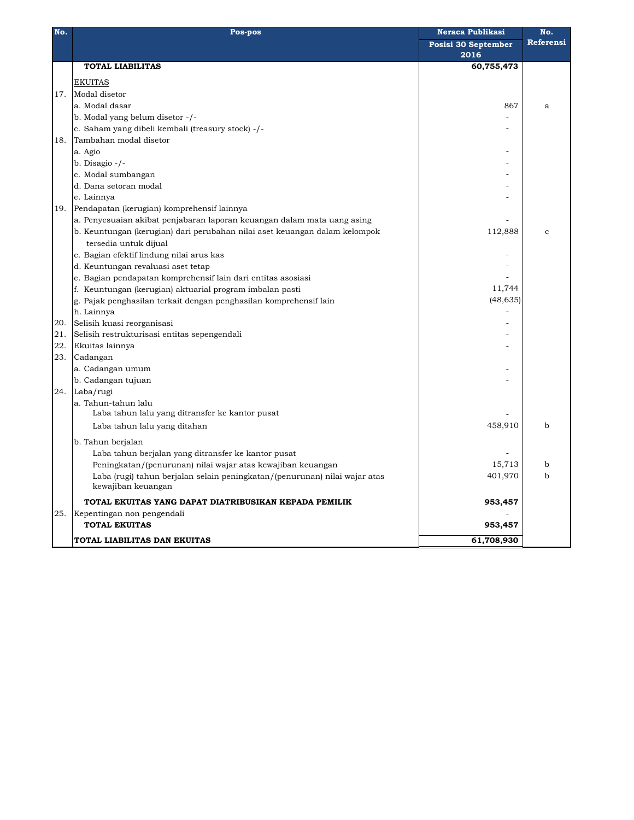| No. | Pos-pos                                                                    | Neraca Publikasi    | No.          |  |
|-----|----------------------------------------------------------------------------|---------------------|--------------|--|
|     |                                                                            | Posisi 30 September | Referensi    |  |
|     |                                                                            | 2016                |              |  |
|     | <b>TOTAL LIABILITAS</b>                                                    | 60,755,473          |              |  |
|     | <b>EKUITAS</b>                                                             |                     |              |  |
| 17. | Modal disetor                                                              |                     |              |  |
|     | a. Modal dasar                                                             | 867                 | a            |  |
|     | b. Modal yang belum disetor -/-                                            |                     |              |  |
|     | c. Saham yang dibeli kembali (treasury stock) -/-                          |                     |              |  |
| 18. | Tambahan modal disetor                                                     |                     |              |  |
|     | a. Agio                                                                    |                     |              |  |
|     | b. Disagio -/-                                                             |                     |              |  |
|     | c. Modal sumbangan                                                         |                     |              |  |
|     | d. Dana setoran modal                                                      |                     |              |  |
|     | e. Lainnya                                                                 |                     |              |  |
| 19. | Pendapatan (kerugian) komprehensif lainnya                                 |                     |              |  |
|     | a. Penyesuaian akibat penjabaran laporan keuangan dalam mata uang asing    |                     |              |  |
|     | b. Keuntungan (kerugian) dari perubahan nilai aset keuangan dalam kelompok | 112,888             | $\mathbf{C}$ |  |
|     | tersedia untuk dijual                                                      |                     |              |  |
|     | c. Bagian efektif lindung nilai arus kas                                   |                     |              |  |
|     | d. Keuntungan revaluasi aset tetap                                         |                     |              |  |
|     | e. Bagian pendapatan komprehensif lain dari entitas asosiasi               |                     |              |  |
|     | f. Keuntungan (kerugian) aktuarial program imbalan pasti                   | 11,744              |              |  |
|     | g. Pajak penghasilan terkait dengan penghasilan komprehensif lain          | (48, 635)           |              |  |
|     | h. Lainnya                                                                 |                     |              |  |
| 20. | Selisih kuasi reorganisasi                                                 |                     |              |  |
| 21. | Selisih restrukturisasi entitas sepengendali                               |                     |              |  |
| 22. | Ekuitas lainnya                                                            |                     |              |  |
| 23. | Cadangan                                                                   |                     |              |  |
|     | a. Cadangan umum                                                           |                     |              |  |
|     | b. Cadangan tujuan                                                         |                     |              |  |
| 24. | Laba/rugi                                                                  |                     |              |  |
|     | a. Tahun-tahun lalu                                                        |                     |              |  |
|     | Laba tahun lalu yang ditransfer ke kantor pusat                            |                     |              |  |
|     | Laba tahun lalu yang ditahan                                               | 458,910             | b            |  |
|     | b. Tahun berjalan                                                          |                     |              |  |
|     | Laba tahun berjalan yang ditransfer ke kantor pusat                        |                     |              |  |
|     | Peningkatan/(penurunan) nilai wajar atas kewajiban keuangan                | 15,713              | b            |  |
|     | Laba (rugi) tahun berjalan selain peningkatan/(penurunan) nilai wajar atas | 401,970             | $\mathbf b$  |  |
|     | kewajiban keuangan                                                         |                     |              |  |
|     | TOTAL EKUITAS YANG DAPAT DIATRIBUSIKAN KEPADA PEMILIK                      | 953,457             |              |  |
| 25. | Kepentingan non pengendali                                                 |                     |              |  |
|     | <b>TOTAL EKUITAS</b>                                                       | 953,457             |              |  |
|     | TOTAL LIABILITAS DAN EKUITAS                                               | 61,708,930          |              |  |